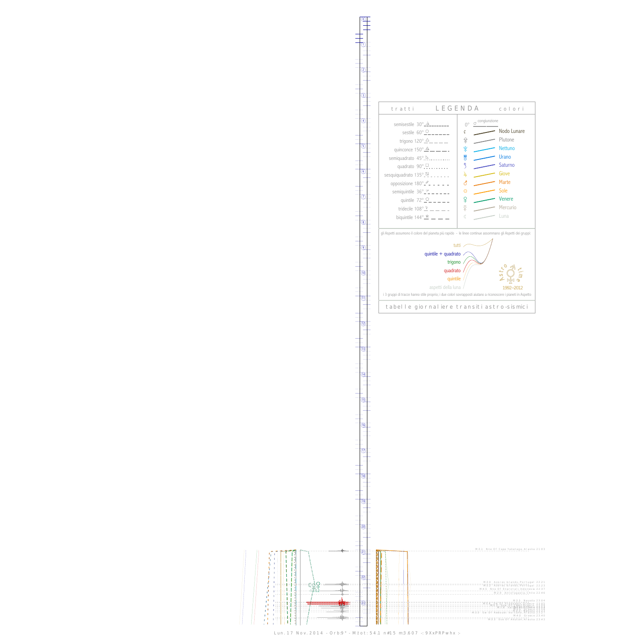